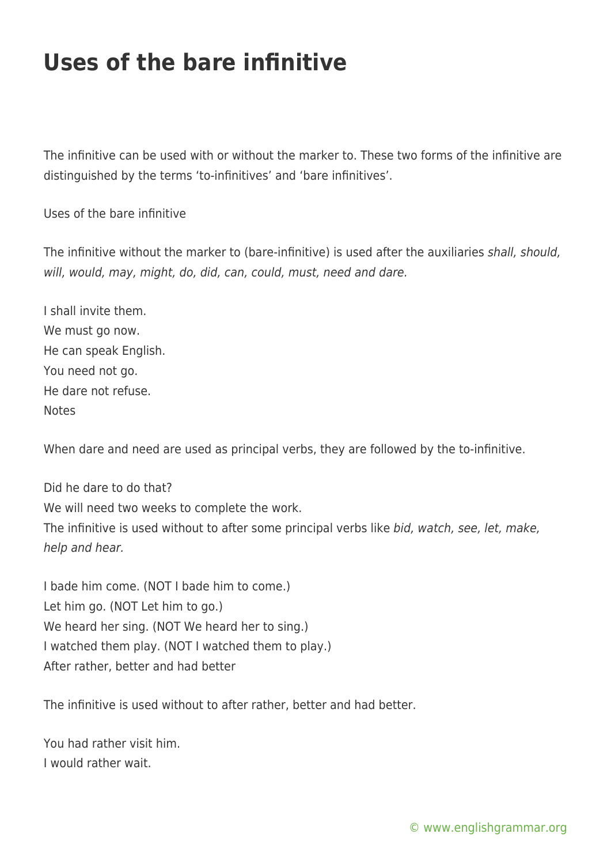## **Uses of the bare infinitive**

The infinitive can be used with or without the marker to. These two forms of the infinitive are distinguished by the terms 'to-infinitives' and 'bare infinitives'.

Uses of the bare infinitive

The infinitive without the marker to (bare-infinitive) is used after the auxiliaries shall, should, will, would, may, might, do, did, can, could, must, need and dare.

I shall invite them. We must go now. He can speak English. You need not go. He dare not refuse. Notes

When dare and need are used as principal verbs, they are followed by the to-infinitive.

Did he dare to do that? We will need two weeks to complete the work. The infinitive is used without to after some principal verbs like bid, watch, see, let, make, help and hear.

I bade him come. (NOT I bade him to come.) Let him go. (NOT Let him to go.) We heard her sing. (NOT We heard her to sing.) I watched them play. (NOT I watched them to play.) After rather, better and had better

The infinitive is used without to after rather, better and had better.

You had rather visit him. I would rather wait.